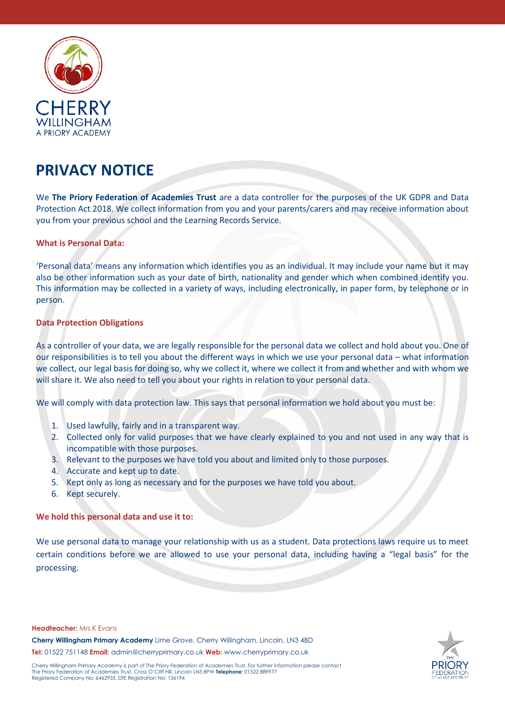

# **PRIVACY NOTICE**

We **The Priory Federation of Academies Trust** are a data controller for the purposes of the UK GDPR and Data Protection Act 2018. We collect information from you and your parents/carers and may receive information about you from your previous school and the Learning Records Service.

## **What is Personal Data:**

'Personal data' means any information which identifies you as an individual. It may include your name but it may also be other information such as your date of birth, nationality and gender which when combined identify you. This information may be collected in a variety of ways, including electronically, in paper form, by telephone or in person.

## **Data Protection Obligations**

As a controller of your data, we are legally responsible for the personal data we collect and hold about you. One of our responsibilities is to tell you about the different ways in which we use your personal data – what information we collect, our legal basis for doing so, why we collect it, where we collect it from and whether and with whom we will share it. We also need to tell you about your rights in relation to your personal data.

We will comply with data protection law. This says that personal information we hold about you must be:

- 1. Used lawfully, fairly and in a transparent way.
- 2. Collected only for valid purposes that we have clearly explained to you and not used in any way that is incompatible with those purposes.
- 3. Relevant to the purposes we have told you about and limited only to those purposes.
- 4. Accurate and kept up to date.
- 5. Kept only as long as necessary and for the purposes we have told you about.
- 6. Kept securely.

## **We hold this personal data and use it to:**

We use personal data to manage your relationship with us as a student. Data protections laws require us to meet certain conditions before we are allowed to use your personal data, including having a "legal basis" for the processing.

**Headteacher:** Mrs K Evans

**Cherry Willingham Primary Academy** Lime Grove, Cherry Willingham, Lincoln, LN3 4BD **Tel:** 01522 751148 **Email:** [admin@cherryprimary.co.uk](mailto:admin@cherryprimary.co.uk) **Web:** www.cherryprimary.co.uk



Cherry Willingham Primary Academy is part of The Priory Federation of Academies Trust. For further information please contact The Priory Federation of Academies Trust, Cross O'Cliff Hill, Lincoln LN5 8PW **Telephone**: 01522 889977 Registered Company No: 6462935. DfE Registration No: 136194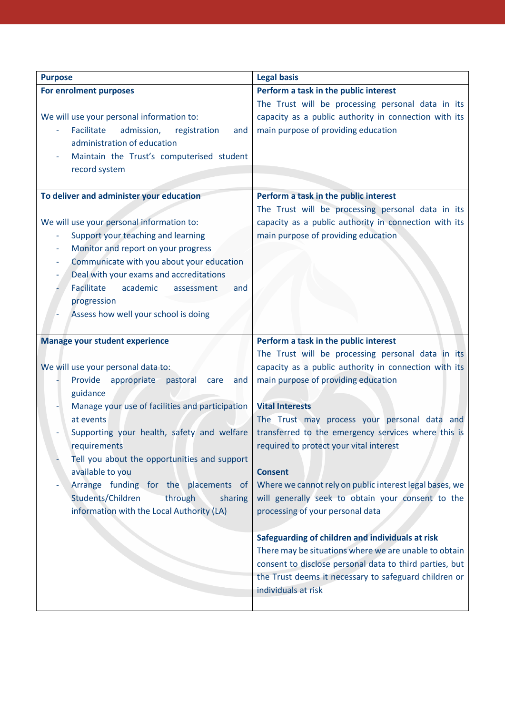| <b>Purpose</b>                                                | <b>Legal basis</b>                                      |
|---------------------------------------------------------------|---------------------------------------------------------|
| For enrolment purposes                                        | Perform a task in the public interest                   |
|                                                               | The Trust will be processing personal data in its       |
| We will use your personal information to:                     | capacity as a public authority in connection with its   |
| Facilitate<br>admission,<br>registration<br>and               | main purpose of providing education                     |
| administration of education                                   |                                                         |
| Maintain the Trust's computerised student                     |                                                         |
| record system                                                 |                                                         |
|                                                               |                                                         |
| To deliver and administer your education                      | Perform a task in the public interest                   |
|                                                               | The Trust will be processing personal data in its       |
| We will use your personal information to:                     | capacity as a public authority in connection with its   |
| Support your teaching and learning                            | main purpose of providing education                     |
| Monitor and report on your progress                           |                                                         |
| Communicate with you about your education                     |                                                         |
| Deal with your exams and accreditations                       |                                                         |
| Facilitate<br>academic<br>and<br>assessment                   |                                                         |
| progression                                                   |                                                         |
| Assess how well your school is doing                          |                                                         |
|                                                               |                                                         |
| <b>Manage your student experience</b>                         | Perform a task in the public interest                   |
|                                                               | The Trust will be processing personal data in its       |
| We will use your personal data to:                            | capacity as a public authority in connection with its   |
| appropriate<br>Provide<br>pastoral<br>care<br>and<br>guidance | main purpose of providing education                     |
| Manage your use of facilities and participation               | <b>Vital Interests</b>                                  |
| at events                                                     | The Trust may process your personal data and            |
| Supporting your health, safety and welfare                    | transferred to the emergency services where this is     |
| requirements                                                  | required to protect your vital interest                 |
| Tell you about the opportunities and support                  |                                                         |
| available to you                                              | <b>Consent</b>                                          |
| Arrange funding for the placements of                         | Where we cannot rely on public interest legal bases, we |
| Students/Children<br>through<br>sharing                       | will generally seek to obtain your consent to the       |
| information with the Local Authority (LA)                     | processing of your personal data                        |
|                                                               |                                                         |
|                                                               | Safeguarding of children and individuals at risk        |
|                                                               | There may be situations where we are unable to obtain   |
|                                                               | consent to disclose personal data to third parties, but |
|                                                               | the Trust deems it necessary to safeguard children or   |
|                                                               | individuals at risk                                     |
|                                                               |                                                         |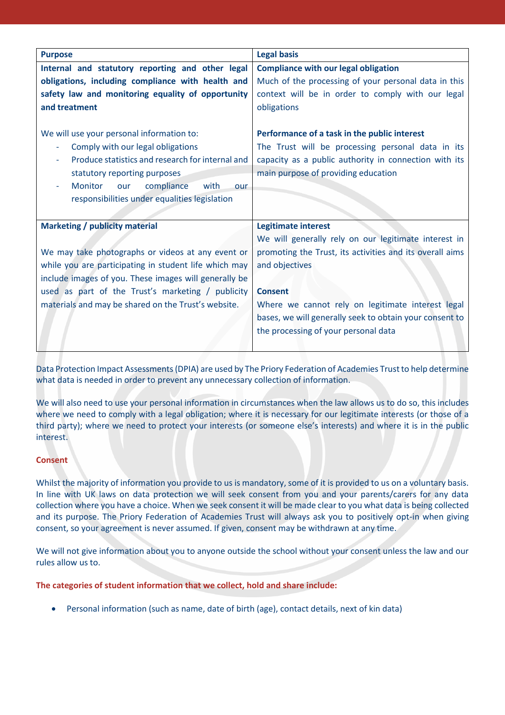| <b>Purpose</b>                                        | <b>Legal basis</b>                                       |
|-------------------------------------------------------|----------------------------------------------------------|
| Internal and statutory reporting and other legal      | <b>Compliance with our legal obligation</b>              |
| obligations, including compliance with health and     | Much of the processing of your personal data in this     |
| safety law and monitoring equality of opportunity     | context will be in order to comply with our legal        |
| and treatment                                         | obligations                                              |
|                                                       |                                                          |
| We will use your personal information to:             | Performance of a task in the public interest             |
| Comply with our legal obligations                     | The Trust will be processing personal data in its        |
| Produce statistics and research for internal and      | capacity as a public authority in connection with its    |
| statutory reporting purposes                          | main purpose of providing education                      |
| compliance<br>with<br><b>Monitor</b><br>our<br>our    |                                                          |
| responsibilities under equalities legislation         |                                                          |
|                                                       |                                                          |
| <b>Marketing / publicity material</b>                 | <b>Legitimate interest</b>                               |
|                                                       | We will generally rely on our legitimate interest in     |
| We may take photographs or videos at any event or     | promoting the Trust, its activities and its overall aims |
| while you are participating in student life which may | and objectives                                           |
| include images of you. These images will generally be |                                                          |
| used as part of the Trust's marketing / publicity     | <b>Consent</b>                                           |
| materials and may be shared on the Trust's website.   | Where we cannot rely on legitimate interest legal        |
|                                                       | bases, we will generally seek to obtain your consent to  |
|                                                       | the processing of your personal data                     |
|                                                       |                                                          |

Data Protection Impact Assessments (DPIA) are used by The Priory Federation of Academies Trust to help determine what data is needed in order to prevent any unnecessary collection of information.

We will also need to use your personal information in circumstances when the law allows us to do so, this includes where we need to comply with a legal obligation; where it is necessary for our legitimate interests (or those of a third party); where we need to protect your interests (or someone else's interests) and where it is in the public interest.

## **Consent**

Whilst the majority of information you provide to us is mandatory, some of it is provided to us on a voluntary basis. In line with UK laws on data protection we will seek consent from you and your parents/carers for any data collection where you have a choice. When we seek consent it will be made clear to you what data is being collected and its purpose. The Priory Federation of Academies Trust will always ask you to positively opt-in when giving consent, so your agreement is never assumed. If given, consent may be withdrawn at any time.

We will not give information about you to anyone outside the school without your consent unless the law and our rules allow us to.

**The categories of student information that we collect, hold and share include:**

Personal information (such as name, date of birth (age), contact details, next of kin data)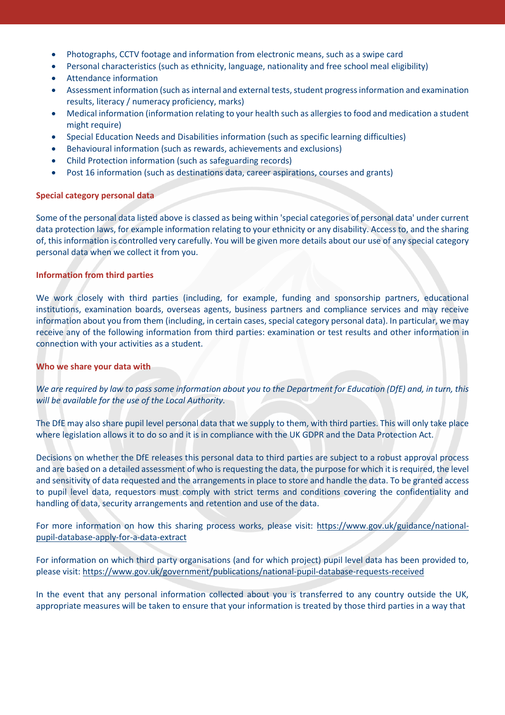- Photographs, CCTV footage and information from electronic means, such as a swipe card
- Personal characteristics (such as ethnicity, language, nationality and free school meal eligibility)
- Attendance information
- Assessment information (such as internal and external tests, student progress information and examination results, literacy / numeracy proficiency, marks)
- Medical information (information relating to your health such as allergies to food and medication a student might require)
- Special Education Needs and Disabilities information (such as specific learning difficulties)
- Behavioural information (such as rewards, achievements and exclusions)
- Child Protection information (such as safeguarding records)
- Post 16 information (such as destinations data, career aspirations, courses and grants)

## **Special category personal data**

Some of the personal data listed above is classed as being within 'special categories of personal data' under current data protection laws, for example information relating to your ethnicity or any disability. Access to, and the sharing of, this information is controlled very carefully. You will be given more details about our use of any special category personal data when we collect it from you.

## **Information from third parties**

We work closely with third parties (including, for example, funding and sponsorship partners, educational institutions, examination boards, overseas agents, business partners and compliance services and may receive information about you from them (including, in certain cases, special category personal data). In particular, we may receive any of the following information from third parties: examination or test results and other information in connection with your activities as a student.

## **Who we share your data with**

*We are required by law to pass some information about you to the Department for Education (DfE) and, in turn, this will be available for the use of the Local Authority.*

The DfE may also share pupil level personal data that we supply to them, with third parties. This will only take place where legislation allows it to do so and it is in compliance with the UK GDPR and the Data Protection Act.

Decisions on whether the DfE releases this personal data to third parties are subject to a robust approval process and are based on a detailed assessment of who is requesting the data, the purpose for which it is required, the level and sensitivity of data requested and the arrangements in place to store and handle the data. To be granted access to pupil level data, requestors must comply with strict terms and conditions covering the confidentiality and handling of data, security arrangements and retention and use of the data.

For more information on how this sharing process works, please visit: [https://www.gov.uk/guidance/national](https://www.gov.uk/guidance/national-pupil-database-apply-for-a-data-extract)[pupil-database-apply-for-a-data-extract](https://www.gov.uk/guidance/national-pupil-database-apply-for-a-data-extract)

For information on which third party organisations (and for which project) pupil level data has been provided to, please visit:<https://www.gov.uk/government/publications/national-pupil-database-requests-received>

In the event that any personal information collected about you is transferred to any country outside the UK, appropriate measures will be taken to ensure that your information is treated by those third parties in a way that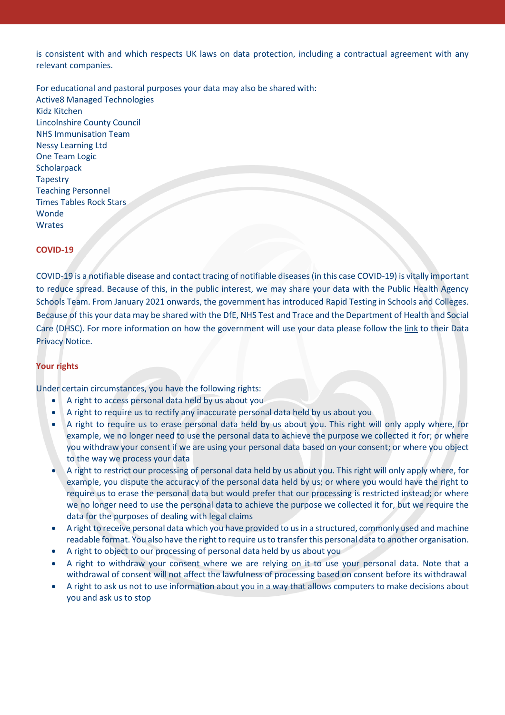is consistent with and which respects UK laws on data protection, including a contractual agreement with any relevant companies.

For educational and pastoral purposes your data may also be shared with: Active8 Managed Technologies Kidz Kitchen Lincolnshire County Council NHS Immunisation Team Nessy Learning Ltd One Team Logic **Scholarpack Tapestry** Teaching Personnel Times Tables Rock Stars Wonde Wrates

#### **COVID-19**

COVID-19 is a notifiable disease and contact tracing of notifiable diseases (in this case COVID-19) is vitally important to reduce spread. Because of this, in the public interest, we may share your data with the Public Health Agency Schools Team. From January 2021 onwards, the government has introduced Rapid Testing in Schools and Colleges. Because of this your data may be shared with the DfE, NHS Test and Trace and the Department of Health and Social Care (DHSC). For more information on how the government will use your data please follow the [link](https://www.gov.uk/government/publications/coronavirus-covid-19-testing-privacy-information) to their Data Privacy Notice.

#### **Your rights**

Under certain circumstances, you have the following rights:

- A right to access personal data held by us about you
- A right to require us to rectify any inaccurate personal data held by us about you
- A right to require us to erase personal data held by us about you. This right will only apply where, for example, we no longer need to use the personal data to achieve the purpose we collected it for; or where you withdraw your consent if we are using your personal data based on your consent; or where you object to the way we process your data
- A right to restrict our processing of personal data held by us about you. This right will only apply where, for example, you dispute the accuracy of the personal data held by us; or where you would have the right to require us to erase the personal data but would prefer that our processing is restricted instead; or where we no longer need to use the personal data to achieve the purpose we collected it for, but we require the data for the purposes of dealing with legal claims
- A right to receive personal data which you have provided to usin a structured, commonly used and machine readable format. You also have the right to require us to transfer this personal data to another organisation.
- A right to object to our processing of personal data held by us about you
- A right to withdraw your consent where we are relying on it to use your personal data. Note that a withdrawal of consent will not affect the lawfulness of processing based on consent before its withdrawal
- A right to ask us not to use information about you in a way that allows computers to make decisions about you and ask us to stop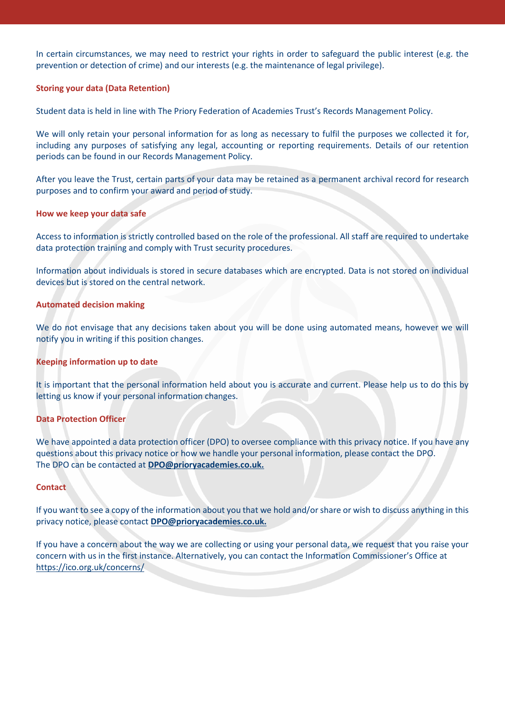In certain circumstances, we may need to restrict your rights in order to safeguard the public interest (e.g. the prevention or detection of crime) and our interests (e.g. the maintenance of legal privilege).

## **Storing your data (Data Retention)**

Student data is held in line with The Priory Federation of Academies Trust's Records Management Policy.

We will only retain your personal information for as long as necessary to fulfil the purposes we collected it for, including any purposes of satisfying any legal, accounting or reporting requirements. Details of our retention periods can be found in our Records Management Policy.

After you leave the Trust, certain parts of your data may be retained as a permanent archival record for research purposes and to confirm your award and period of study.

#### **How we keep your data safe**

Access to information is strictly controlled based on the role of the professional. All staff are required to undertake data protection training and comply with Trust security procedures.

Information about individuals is stored in secure databases which are encrypted. Data is not stored on individual devices but is stored on the central network.

#### **Automated decision making**

We do not envisage that any decisions taken about you will be done using automated means, however we will notify you in writing if this position changes.

#### **Keeping information up to date**

It is important that the personal information held about you is accurate and current. Please help us to do this by letting us know if your personal information changes.

#### **Data Protection Officer**

We have appointed a data protection officer (DPO) to oversee compliance with this privacy notice. If you have any questions about this privacy notice or how we handle your personal information, please contact the DPO. The DPO can be contacted at **[DPO@prioryacademies.co.uk.](mailto:DPO@prioryacademies.co.uk)** 

#### **Contact**

If you want to see a copy of the information about you that we hold and/or share or wish to discuss anything in this privacy notice, please contact **[DPO@prioryacademies.co.uk.](mailto:DPO@prioryacademies.co.uk)** 

If you have a concern about the way we are collecting or using your personal data, we request that you raise your concern with us in the first instance. Alternatively, you can contact the Information Commissioner's Office at <https://ico.org.uk/concerns/>